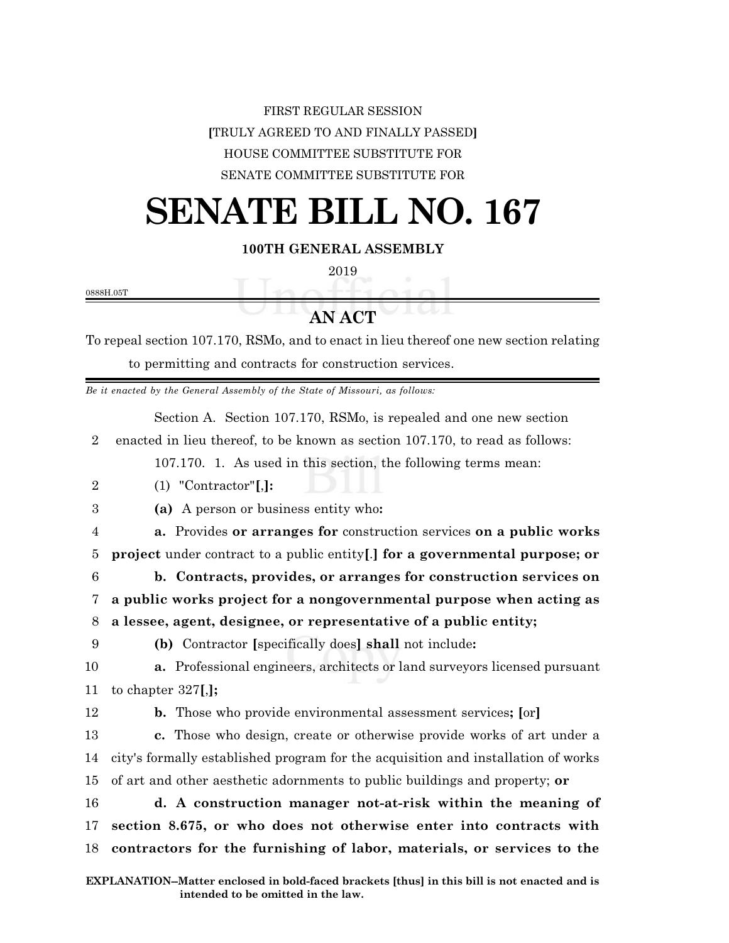### FIRST REGULAR SESSION **[**TRULY AGREED TO AND FINALLY PASSED**]** HOUSE COMMITTEE SUBSTITUTE FOR SENATE COMMITTEE SUBSTITUTE FOR

# **SENATE BILL NO. 167**

**100TH GENERAL ASSEMBLY**

2019

0888H.05T

## **AN ACT**

To repeal section 107.170, RSMo, and to enact in lieu thereof one new section relating to permitting and contracts for construction services.

*Be it enacted by the General Assembly of the State of Missouri, as follows:*

Section A. Section 107.170, RSMo, is repealed and one new section

2 enacted in lieu thereof, to be known as section 107.170, to read as follows:

107.170. 1. As used in this section, the following terms mean:

- 2 (1) "Contractor"**[**,**]:**
- 3 **(a)** A person or business entity who**:**

4 **a.** Provides **or arranges for** construction services **on a public works** 5 **project** under contract to a public entity**[**.**] for a governmental purpose; or**

6 **b. Contracts, provides, or arranges for construction services on** 7 **a public works project for a nongovernmental purpose when acting as**

#### 8 **a lessee, agent, designee, or representative of a public entity;**

9 **(b)** Contractor **[**specifically does**] shall** not include**:**

10 **a.** Professional engineers, architects or land surveyors licensed pursuant 11 to chapter 327**[**,**];**

12 **b.** Those who provide environmental assessment services**; [**or**]**

13 **c.** Those who design, create or otherwise provide works of art under a 14 city's formally established program for the acquisition and installation of works 15 of art and other aesthetic adornments to public buildings and property; **or**

16 **d. A construction manager not-at-risk within the meaning of** 17 **section 8.675, or who does not otherwise enter into contracts with** 18 **contractors for the furnishing of labor, materials, or services to the**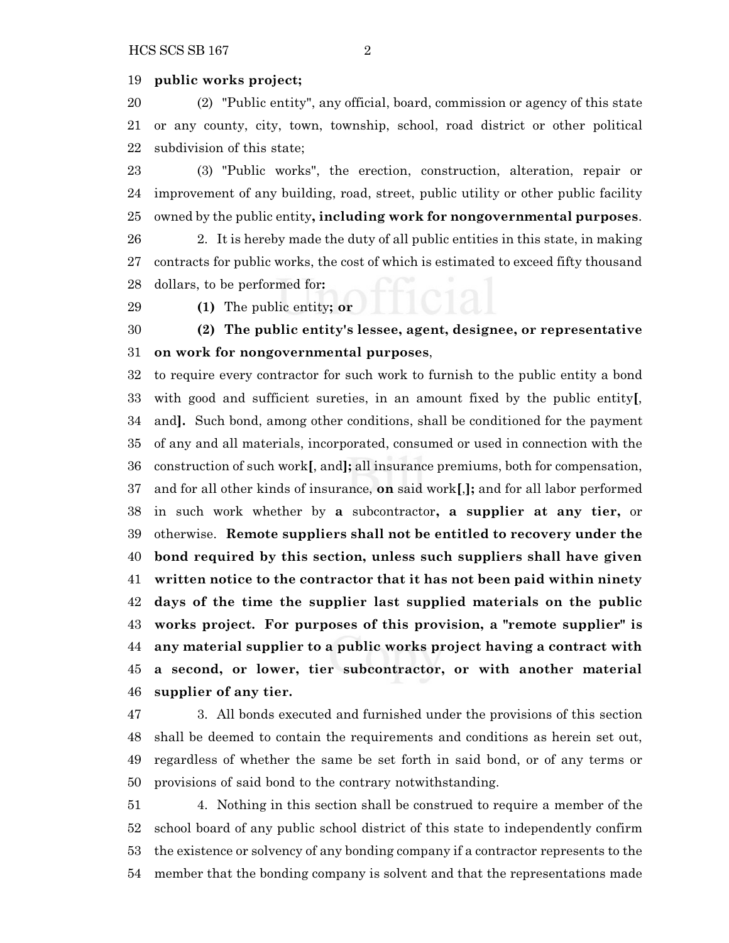#### **public works project;**

 (2) "Public entity", any official, board, commission or agency of this state or any county, city, town, township, school, road district or other political subdivision of this state;

 (3) "Public works", the erection, construction, alteration, repair or improvement of any building, road, street, public utility or other public facility owned by the public entity**, including work for nongovernmental purposes**.

 2. It is hereby made the duty of all public entities in this state, in making contracts for public works, the cost of which is estimated to exceed fifty thousand dollars, to be performed for**:**

**(1)** The public entity**; or**

 **(2) The public entity's lessee, agent, designee, or representative on work for nongovernmental purposes**,

 to require every contractor for such work to furnish to the public entity a bond with good and sufficient sureties, in an amount fixed by the public entity**[**, and**].** Such bond, among other conditions, shall be conditioned for the payment of any and all materials, incorporated, consumed or used in connection with the construction of such work**[**, and**];** all insurance premiums, both for compensation, and for all other kinds of insurance, **on** said work**[**,**];** and for all labor performed in such work whether by **a** subcontractor**, a supplier at any tier,** or otherwise. **Remote suppliers shall not be entitled to recovery under the bond required by this section, unless such suppliers shall have given written notice to the contractor that it has not been paid within ninety days of the time the supplier last supplied materials on the public works project. For purposes of this provision, a "remote supplier" is any material supplier to a public works project having a contract with a second, or lower, tier subcontractor, or with another material supplier of any tier.**

 3. All bonds executed and furnished under the provisions of this section shall be deemed to contain the requirements and conditions as herein set out, regardless of whether the same be set forth in said bond, or of any terms or provisions of said bond to the contrary notwithstanding.

 4. Nothing in this section shall be construed to require a member of the school board of any public school district of this state to independently confirm the existence or solvency of any bonding company if a contractor represents to the member that the bonding company is solvent and that the representations made